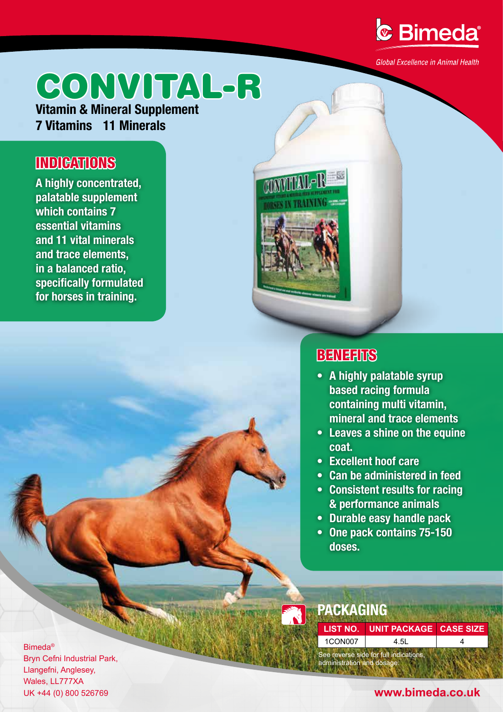

Global Excellence in Animal Health

# CONVITAL-R

**Vitamin & Mineral Supplement 7 Vitamins 11 Minerals**

## **INDICATIONS**

**A highly concentrated, palatable supplement which contains 7 essential vitamins and 11 vital minerals and trace elements, in a balanced ratio, specifically formulated for horses in training.**



## **BENEFITS**

- **A highly palatable syrup based racing formula containing multi vitamin, mineral and trace elements**
- **• Leaves a shine on the equine coat.**
- **• Excellent hoof care**
- **• Can be administered in feed**
- **• Consistent results for racing & performance animals**
- **• Durable easy handle pack**
- **• One pack contains 75-150 doses.**

**PACKAGING**

See reverse side for full indications, administration and dosage. **LIST NO. UNIT PACKAGE CASE SIZE**  $1$ CON007 4.5L 4

Bimeda® Bryn Cefni Industrial Park, Llangefni, Anglesey, Wales, LL777XA

### UK +44 (0) 800 526769 **www.bimeda.co.uk**